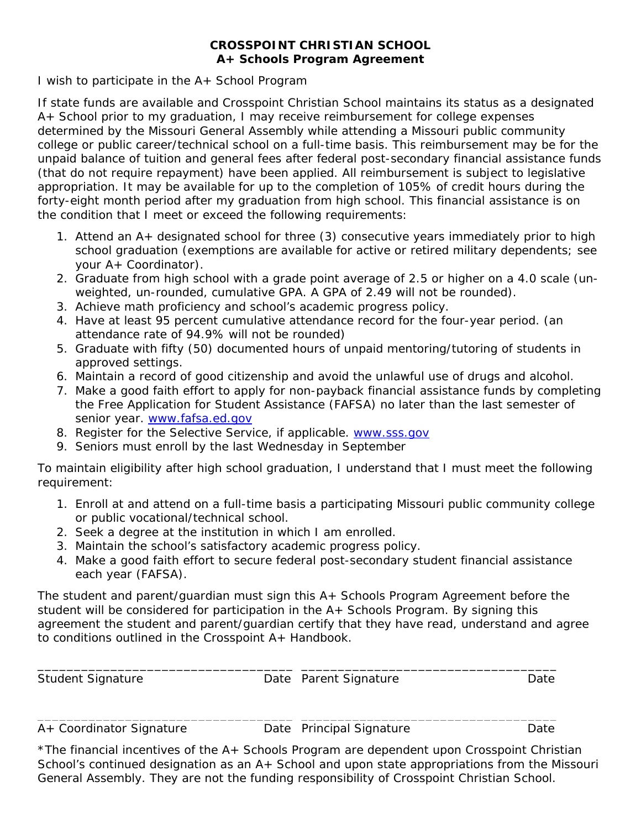## **CROSSPOINT CHRISTIAN SCHOOL A+ Schools Program Agreement**

I wish to participate in the A+ School Program

If state funds are available and Crosspoint Christian School maintains its status as a designated A+ School prior to my graduation, I may receive reimbursement for college expenses determined by the Missouri General Assembly while attending a Missouri public community college or public career/technical school on a full-time basis. This reimbursement may be for the unpaid balance of tuition and general fees after federal post-secondary financial assistance funds (that do not require repayment) have been applied. All reimbursement is subject to legislative appropriation. It may be available for up to the completion of 105% of credit hours during the forty-eight month period after my graduation from high school. This financial assistance is on the condition that I meet or exceed the following requirements:

- 1. Attend an A+ designated school for three (3) consecutive years immediately prior to high school graduation (exemptions are available for active or retired military dependents; see your A+ Coordinator).
- 2. Graduate from high school with a grade point average of 2.5 or higher on a 4.0 scale (unweighted, un-rounded, cumulative GPA. A GPA of 2.49 will not be rounded).
- 3. Achieve math proficiency and school's academic progress policy.
- 4. Have at least 95 percent cumulative attendance record for the four-year period. (an attendance rate of 94.9% will not be rounded)
- 5. Graduate with fifty (50) documented hours of unpaid mentoring/tutoring of students in approved settings.
- 6. Maintain a record of good citizenship and avoid the unlawful use of drugs and alcohol.
- 7. Make a good faith effort to apply for non-payback financial assistance funds by completing the Free Application for Student Assistance (FAFSA) no later than the last semester of senior year. www.fafsa.ed.gov
- 8. Register for the Selective Service, if applicable. www.sss.gov
- 9. Seniors must enroll by the last Wednesday in September

To maintain eligibility after high school graduation, I understand that I must meet the following requirement:

- 1. Enroll at and attend on a full-time basis a participating Missouri public community college or public vocational/technical school.
- 2. Seek a degree at the institution in which I am enrolled.
- 3. Maintain the school's satisfactory academic progress policy.
- 4. Make a good faith effort to secure federal post-secondary student financial assistance each year (FAFSA).

The student and parent/guardian must sign this A+ Schools Program Agreement before the student will be considered for participation in the A+ Schools Program. By signing this agreement the student and parent/guardian certify that they have read, understand and agree to conditions outlined in the Crosspoint A+ Handbook.

| <b>Student Signature</b> | Date Parent Signature | Date |
|--------------------------|-----------------------|------|
|                          |                       |      |

\_\_\_\_\_\_\_\_\_\_\_\_\_\_\_\_\_\_\_\_\_\_\_\_\_\_\_\_\_\_\_\_\_\_\_ \_\_\_\_\_\_\_\_\_\_\_\_\_\_\_\_\_\_\_\_\_\_\_\_\_\_\_\_\_\_\_\_\_\_\_

A+ Coordinator Signature Date Principal Signature Date

\*The financial incentives of the A+ Schools Program are dependent upon Crosspoint Christian School's continued designation as an A+ School and upon state appropriations from the Missouri General Assembly. They are not the funding responsibility of Crosspoint Christian School.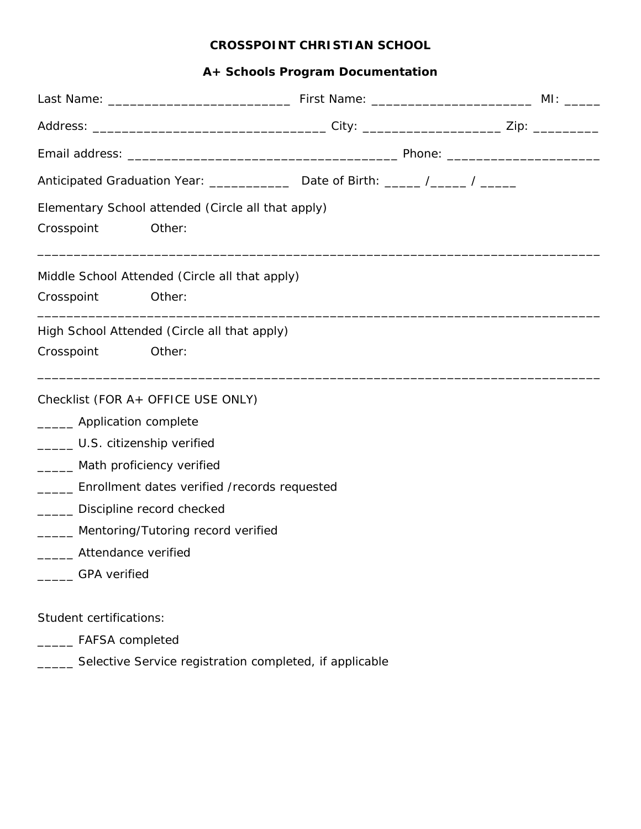# **A+ Schools Program Documentation**

|                              |                                                         | Anticipated Graduation Year: _______________ Date of Birth: _____ /_____ / ______ |  |
|------------------------------|---------------------------------------------------------|-----------------------------------------------------------------------------------|--|
|                              | Elementary School attended (Circle all that apply)      |                                                                                   |  |
| Crosspoint                   | Other:                                                  |                                                                                   |  |
|                              | Middle School Attended (Circle all that apply)          |                                                                                   |  |
| Crosspoint                   | Other:                                                  |                                                                                   |  |
|                              | High School Attended (Circle all that apply)            |                                                                                   |  |
| Crosspoint                   | Other:                                                  |                                                                                   |  |
|                              | Checklist (FOR A+ OFFICE USE ONLY)                      |                                                                                   |  |
| _______ Application complete |                                                         |                                                                                   |  |
|                              | _______ U.S. citizenship verified                       |                                                                                   |  |
|                              | _____ Math proficiency verified                         |                                                                                   |  |
|                              | _____ Enrollment dates verified /records requested      |                                                                                   |  |
|                              | _____ Discipline record checked                         |                                                                                   |  |
|                              | ______ Mentoring/Tutoring record verified               |                                                                                   |  |
| ______ Attendance verified   |                                                         |                                                                                   |  |
| <b>GPA</b> verified          |                                                         |                                                                                   |  |
| Student certifications:      |                                                         |                                                                                   |  |
| ___ FAFSA completed          |                                                         |                                                                                   |  |
|                              | Selective Service registration completed, if applicable |                                                                                   |  |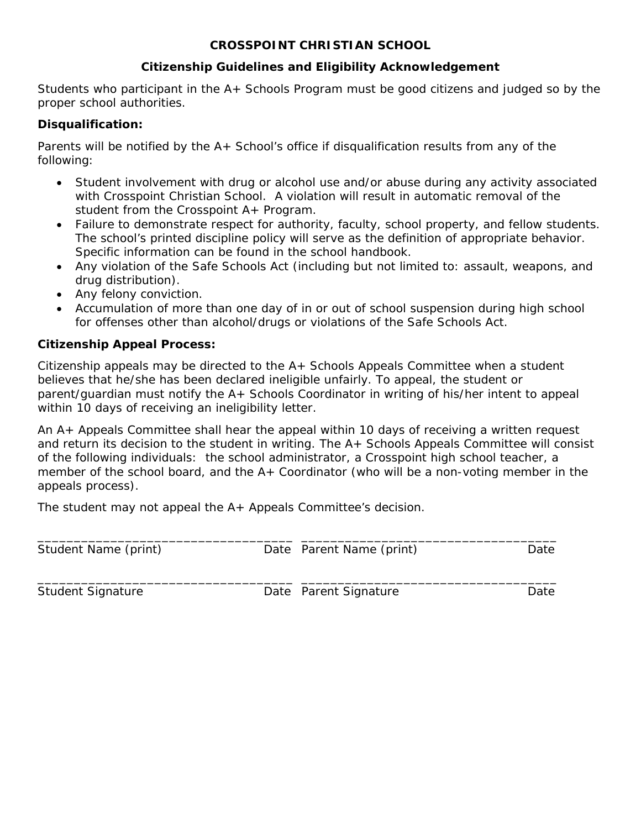## **Citizenship Guidelines and Eligibility Acknowledgement**

Students who participant in the A+ Schools Program must be good citizens and judged so by the proper school authorities.

#### **Disqualification:**

Parents will be notified by the A+ School's office if disqualification results from any of the following:

- Student involvement with drug or alcohol use and/or abuse during any activity associated with Crosspoint Christian School. A violation will result in automatic removal of the student from the Crosspoint A+ Program.
- Failure to demonstrate respect for authority, faculty, school property, and fellow students. The school's printed discipline policy will serve as the definition of appropriate behavior. Specific information can be found in the school handbook.
- Any violation of the Safe Schools Act (including but not limited to: assault, weapons, and drug distribution).
- Any felony conviction.
- Accumulation of more than one day of in or out of school suspension during high school for offenses other than alcohol/drugs or violations of the Safe Schools Act.

#### **Citizenship Appeal Process:**

Citizenship appeals may be directed to the A+ Schools Appeals Committee when a student believes that he/she has been declared ineligible unfairly. To appeal, the student or parent/guardian must notify the A+ Schools Coordinator in writing of his/her intent to appeal within 10 days of receiving an ineligibility letter.

An A+ Appeals Committee shall hear the appeal within 10 days of receiving a written request and return its decision to the student in writing. The A+ Schools Appeals Committee will consist of the following individuals: the school administrator, a Crosspoint high school teacher, a member of the school board, and the A+ Coordinator (who will be a non-voting member in the appeals process).

The student may not appeal the A+ Appeals Committee's decision.

| Student Name (print)     | Date Parent Name (print) | Date |
|--------------------------|--------------------------|------|
| <b>Student Signature</b> | Date Parent Signature    | Date |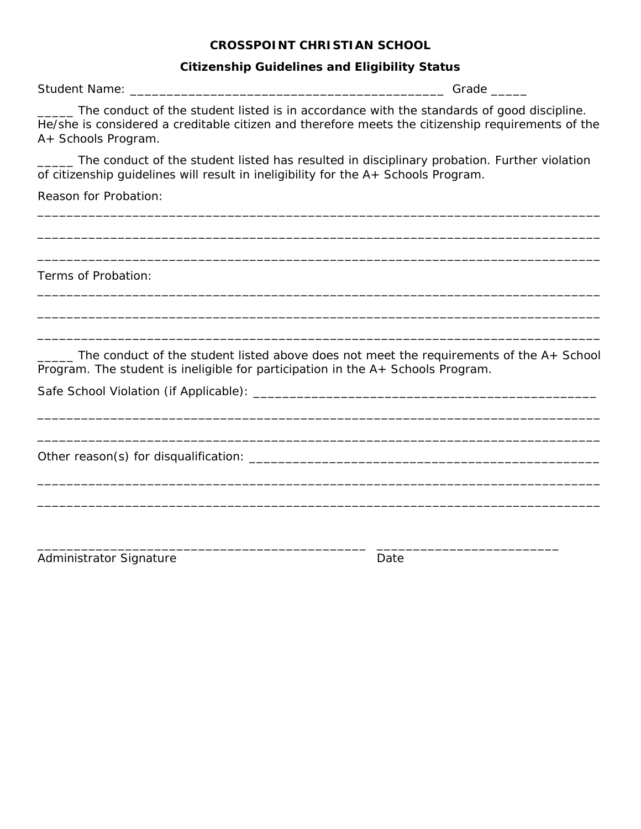#### **Citizenship Guidelines and Eligibility Status**

Student Name: \_\_\_\_\_\_\_\_\_\_\_\_\_\_\_\_\_\_\_\_\_\_\_\_\_\_\_\_\_\_\_\_\_\_\_\_\_\_\_\_\_\_\_ Grade \_\_\_\_\_

\_\_\_\_\_ The conduct of the student listed is in accordance with the standards of good discipline. He/she is considered a creditable citizen and therefore meets the citizenship requirements of the A+ Schools Program.

\_\_\_\_\_ The conduct of the student listed has resulted in disciplinary probation. Further violation of citizenship guidelines will result in ineligibility for the A+ Schools Program.

\_\_\_\_\_\_\_\_\_\_\_\_\_\_\_\_\_\_\_\_\_\_\_\_\_\_\_\_\_\_\_\_\_\_\_\_\_\_\_\_\_\_\_\_\_\_\_\_\_\_\_\_\_\_\_\_\_\_\_\_\_\_\_\_\_\_\_\_\_\_\_\_\_\_\_\_\_

\_\_\_\_\_\_\_\_\_\_\_\_\_\_\_\_\_\_\_\_\_\_\_\_\_\_\_\_\_\_\_\_\_\_\_\_\_\_\_\_\_\_\_\_\_\_\_\_\_\_\_\_\_\_\_\_\_\_\_\_\_\_\_\_\_\_\_\_\_\_\_\_\_\_\_\_\_

\_\_\_\_\_\_\_\_\_\_\_\_\_\_\_\_\_\_\_\_\_\_\_\_\_\_\_\_\_\_\_\_\_\_\_\_\_\_\_\_\_\_\_\_\_\_\_\_\_\_\_\_\_\_\_\_\_\_\_\_\_\_\_\_\_\_\_\_\_\_\_\_\_\_\_\_\_

\_\_\_\_\_\_\_\_\_\_\_\_\_\_\_\_\_\_\_\_\_\_\_\_\_\_\_\_\_\_\_\_\_\_\_\_\_\_\_\_\_\_\_\_\_\_\_\_\_\_\_\_\_\_\_\_\_\_\_\_\_\_\_\_\_\_\_\_\_\_\_\_\_\_\_\_\_

\_\_\_\_\_\_\_\_\_\_\_\_\_\_\_\_\_\_\_\_\_\_\_\_\_\_\_\_\_\_\_\_\_\_\_\_\_\_\_\_\_\_\_\_\_\_\_\_\_\_\_\_\_\_\_\_\_\_\_\_\_\_\_\_\_\_\_\_\_\_\_\_\_\_\_\_\_

\_\_\_\_\_\_\_\_\_\_\_\_\_\_\_\_\_\_\_\_\_\_\_\_\_\_\_\_\_\_\_\_\_\_\_\_\_\_\_\_\_\_\_\_\_\_\_\_\_\_\_\_\_\_\_\_\_\_\_\_\_\_\_\_\_\_\_\_\_\_\_\_\_\_\_\_\_

Reason for Probation:

Terms of Probation:

\_\_\_\_\_ The conduct of the student listed above does not meet the requirements of the A+ School Program. The student is ineligible for participation in the A+ Schools Program.

\_\_\_\_\_\_\_\_\_\_\_\_\_\_\_\_\_\_\_\_\_\_\_\_\_\_\_\_\_\_\_\_\_\_\_\_\_\_\_\_\_\_\_\_\_\_\_\_\_\_\_\_\_\_\_\_\_\_\_\_\_\_\_\_\_\_\_\_\_\_\_\_\_\_\_\_\_

\_\_\_\_\_\_\_\_\_\_\_\_\_\_\_\_\_\_\_\_\_\_\_\_\_\_\_\_\_\_\_\_\_\_\_\_\_\_\_\_\_\_\_\_\_\_\_\_\_\_\_\_\_\_\_\_\_\_\_\_\_\_\_\_\_\_\_\_\_\_\_\_\_\_\_\_\_

\_\_\_\_\_\_\_\_\_\_\_\_\_\_\_\_\_\_\_\_\_\_\_\_\_\_\_\_\_\_\_\_\_\_\_\_\_\_\_\_\_\_\_\_\_\_\_\_\_\_\_\_\_\_\_\_\_\_\_\_\_\_\_\_\_\_\_\_\_\_\_\_\_\_\_\_\_

\_\_\_\_\_\_\_\_\_\_\_\_\_\_\_\_\_\_\_\_\_\_\_\_\_\_\_\_\_\_\_\_\_\_\_\_\_\_\_\_\_\_\_\_\_\_\_\_\_\_\_\_\_\_\_\_\_\_\_\_\_\_\_\_\_\_\_\_\_\_\_\_\_\_\_\_\_

\_\_\_\_\_\_\_\_\_\_\_\_\_\_\_\_\_\_\_\_\_\_\_\_\_\_\_\_\_\_\_\_\_\_\_\_\_\_\_\_\_\_\_\_\_ \_\_\_\_\_\_\_\_\_\_\_\_\_\_\_\_\_\_\_\_\_\_\_\_\_

Safe School Violation (if Applicable): \_\_\_\_\_\_\_\_\_\_\_\_\_\_\_\_\_\_\_\_\_\_\_\_\_\_\_\_\_\_\_\_\_\_\_\_\_\_\_\_\_\_\_\_\_\_\_

Other reason(s) for disqualification: \_\_\_\_\_\_\_\_\_\_\_\_\_\_\_\_\_\_\_\_\_\_\_\_\_\_\_\_\_\_\_\_\_\_\_\_\_\_\_\_\_\_\_\_\_\_\_\_

Administrator Signature Date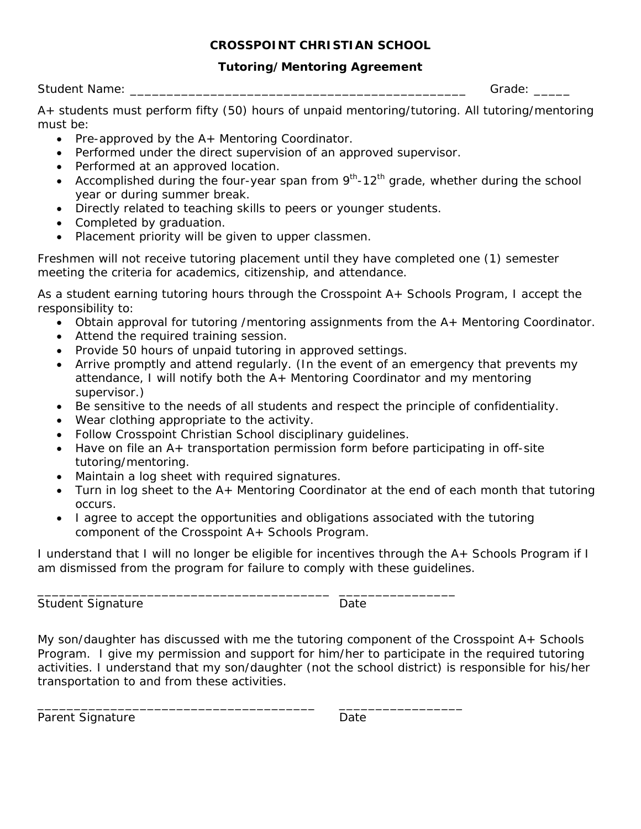#### **Tutoring/Mentoring Agreement**

| <b>Student Name:</b> |  |  |
|----------------------|--|--|
|                      |  |  |

Grade:  $\Box$ 

A+ students must perform fifty (50) hours of unpaid mentoring/tutoring. All tutoring/mentoring must be:

- Pre-approved by the A+ Mentoring Coordinator.
- Performed under the direct supervision of an approved supervisor.
- Performed at an approved location.
- Accomplished during the four-year span from  $9<sup>th</sup>$ -12<sup>th</sup> grade, whether during the school year or during summer break.
- Directly related to teaching skills to peers or younger students.
- Completed by graduation.
- Placement priority will be given to upper classmen.

Freshmen will not receive tutoring placement until they have completed one (1) semester meeting the criteria for academics, citizenship, and attendance.

As a student earning tutoring hours through the Crosspoint A+ Schools Program, I accept the responsibility to:

- Obtain approval for tutoring /mentoring assignments from the A+ Mentoring Coordinator.
- Attend the required training session.
- Provide 50 hours of unpaid tutoring in approved settings.
- Arrive promptly and attend regularly. (In the event of an emergency that prevents my attendance, I will notify both the A+ Mentoring Coordinator and my mentoring supervisor.)
- Be sensitive to the needs of all students and respect the principle of confidentiality.
- Wear clothing appropriate to the activity.
- Follow Crosspoint Christian School disciplinary guidelines.

\_\_\_\_\_\_\_\_\_\_\_\_\_\_\_\_\_\_\_\_\_\_\_\_\_\_\_\_\_\_\_\_\_\_\_\_\_\_\_\_ \_\_\_\_\_\_\_\_\_\_\_\_\_\_\_\_

\_\_\_\_\_\_\_\_\_\_\_\_\_\_\_\_\_\_\_\_\_\_\_\_\_\_\_\_\_\_\_\_\_\_\_\_\_\_ \_\_\_\_\_\_\_\_\_\_\_\_\_\_\_\_\_

- Have on file an A+ transportation permission form before participating in off-site tutoring/mentoring.
- Maintain a log sheet with required signatures.
- Turn in log sheet to the A+ Mentoring Coordinator at the end of each month that tutoring occurs.
- I agree to accept the opportunities and obligations associated with the tutoring component of the Crosspoint A+ Schools Program.

I understand that I will no longer be eligible for incentives through the A+ Schools Program if I am dismissed from the program for failure to comply with these guidelines.

Student Signature Date Date

My son/daughter has discussed with me the tutoring component of the Crosspoint A+ Schools Program. I give my permission and support for him/her to participate in the required tutoring activities. I understand that my son/daughter (not the school district) is responsible for his/her transportation to and from these activities.

Parent Signature Date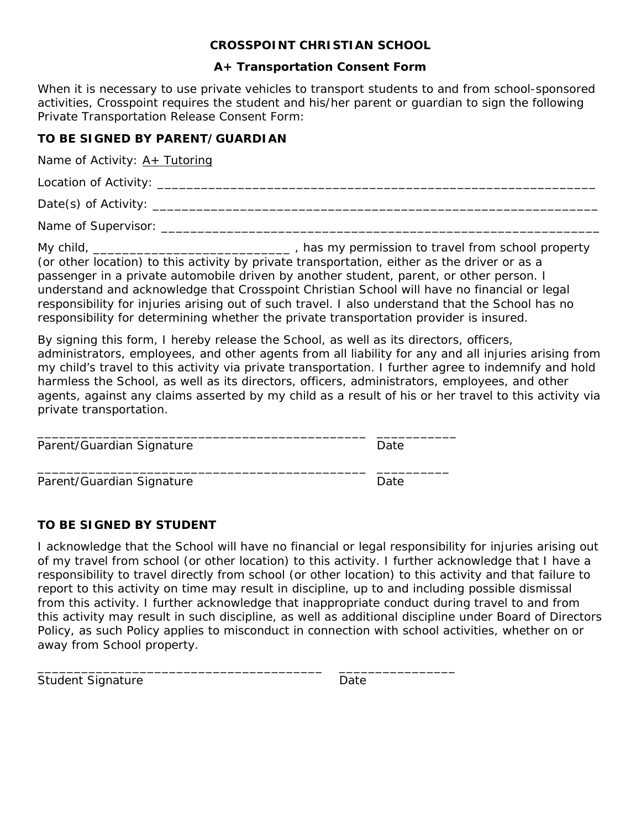#### **A+ Transportation Consent Form**

When it is necessary to use private vehicles to transport students to and from school-sponsored activities, Crosspoint requires the student and his/her parent or guardian to sign the following Private Transportation Release Consent Form:

### **TO BE SIGNED BY PARENT/GUARDIAN**

Name of Activity:  $A+$  Tutoring

Location of Activity: \_\_\_\_\_\_\_\_\_\_\_\_\_\_\_\_\_\_\_\_\_\_\_\_\_\_\_\_\_\_\_\_\_\_\_\_\_\_\_\_\_\_\_\_\_\_\_\_\_\_\_\_\_\_\_\_\_\_\_\_

Date(s) of Activity: \_\_\_\_\_\_\_\_\_\_\_\_\_\_\_\_\_\_\_\_\_\_\_\_\_\_\_\_\_\_\_\_\_\_\_\_\_\_\_\_\_\_\_\_\_\_\_\_\_\_\_\_\_\_\_\_\_\_\_\_\_

Name of Supervisor: \_\_\_\_\_\_\_\_\_\_\_\_\_\_\_\_\_\_\_\_\_\_\_\_\_\_\_\_\_\_\_\_\_\_\_\_\_\_\_\_\_\_\_\_\_\_\_\_\_\_\_\_\_\_\_\_\_\_\_\_

My child, \_\_\_\_\_\_\_\_\_\_\_\_\_\_\_\_\_\_\_\_\_\_\_\_\_\_\_\_\_\_\_\_\_\_, has my permission to travel from school property (or other location) to this activity by private transportation, either as the driver or as a passenger in a private automobile driven by another student, parent, or other person. I understand and acknowledge that Crosspoint Christian School will have no financial or legal responsibility for injuries arising out of such travel. I also understand that the School has no responsibility for determining whether the private transportation provider is insured.

By signing this form, I hereby release the School, as well as its directors, officers, administrators, employees, and other agents from all liability for any and all injuries arising from my child's travel to this activity via private transportation. I further agree to indemnify and hold harmless the School, as well as its directors, officers, administrators, employees, and other agents, against any claims asserted by my child as a result of his or her travel to this activity via private transportation.

| Parent/Guardian Signature | Date |
|---------------------------|------|
| Parent/Guardian Signature | Date |

\_\_\_\_\_\_\_\_\_\_\_\_\_\_\_\_\_\_\_\_\_\_\_\_\_\_\_\_\_\_\_\_\_\_\_\_\_\_\_ \_\_\_\_\_\_\_\_\_\_\_\_\_\_\_\_

## **TO BE SIGNED BY STUDENT**

I acknowledge that the School will have no financial or legal responsibility for injuries arising out of my travel from school (or other location) to this activity. I further acknowledge that I have a responsibility to travel directly from school (or other location) to this activity and that failure to report to this activity on time may result in discipline, up to and including possible dismissal from this activity. I further acknowledge that inappropriate conduct during travel to and from this activity may result in such discipline, as well as additional discipline under Board of Directors Policy, as such Policy applies to misconduct in connection with school activities, whether on or away from School property.

| <b>Student Signature</b> | Date |
|--------------------------|------|
|--------------------------|------|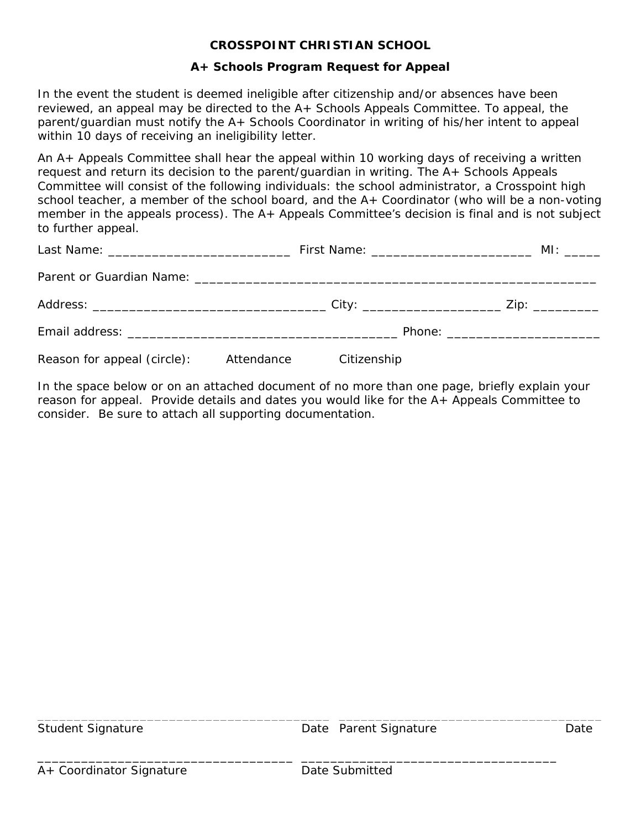#### **A+ Schools Program Request for Appeal**

In the event the student is deemed ineligible after citizenship and/or absences have been reviewed, an appeal may be directed to the A+ Schools Appeals Committee. To appeal, the parent/guardian must notify the A+ Schools Coordinator in writing of his/her intent to appeal *within 10 days of receiving an ineligibility letter*.

An A+ Appeals Committee shall hear the appeal within 10 working days of receiving a written request and return its decision to the parent/guardian in writing. The A+ Schools Appeals Committee will consist of the following individuals: the school administrator, a Crosspoint high school teacher, a member of the school board, and the A+ Coordinator (who will be a non-voting member in the appeals process). The A+ Appeals Committee's decision is final and is not subject to further appeal.

|                                        |             | MI: ______ |
|----------------------------------------|-------------|------------|
|                                        |             |            |
|                                        |             |            |
|                                        |             |            |
| Reason for appeal (circle): Attendance | Citizenship |            |

In the space below or on an attached document of no more than one page, briefly explain your reason for appeal. Provide details and dates you would like for the A+ Appeals Committee to consider. Be sure to attach all supporting documentation.

Student Signature Date Parent Signature Date

\_\_\_\_\_\_\_\_\_\_\_\_\_\_\_\_\_\_\_\_\_\_\_\_\_\_\_\_\_\_\_\_\_\_\_\_\_\_\_\_ \_\_\_\_\_\_\_\_\_\_\_\_\_\_\_\_\_\_\_\_\_\_\_\_\_\_\_\_\_\_\_\_\_\_\_\_

\_\_\_\_\_\_\_\_\_\_\_\_\_\_\_\_\_\_\_\_\_\_\_\_\_\_\_\_\_\_\_\_\_\_\_ \_\_\_\_\_\_\_\_\_\_\_\_\_\_\_\_\_\_\_\_\_\_\_\_\_\_\_\_\_\_\_\_\_\_\_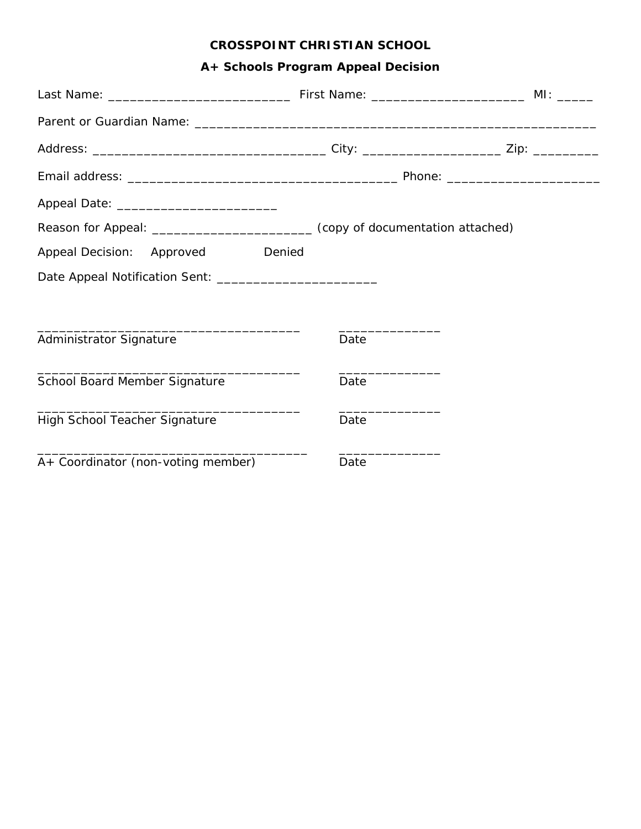# **A+ Schools Program Appeal Decision**

| Reason for Appeal: __________________________________(copy of documentation attached) |      |  |
|---------------------------------------------------------------------------------------|------|--|
| Appeal Decision: Approved<br>Denied                                                   |      |  |
|                                                                                       |      |  |
|                                                                                       |      |  |
| Administrator Signature                                                               | Date |  |
| School Board Member Signature                                                         | Date |  |
| High School Teacher Signature                                                         | Date |  |
| A+ Coordinator (non-voting member)                                                    | Date |  |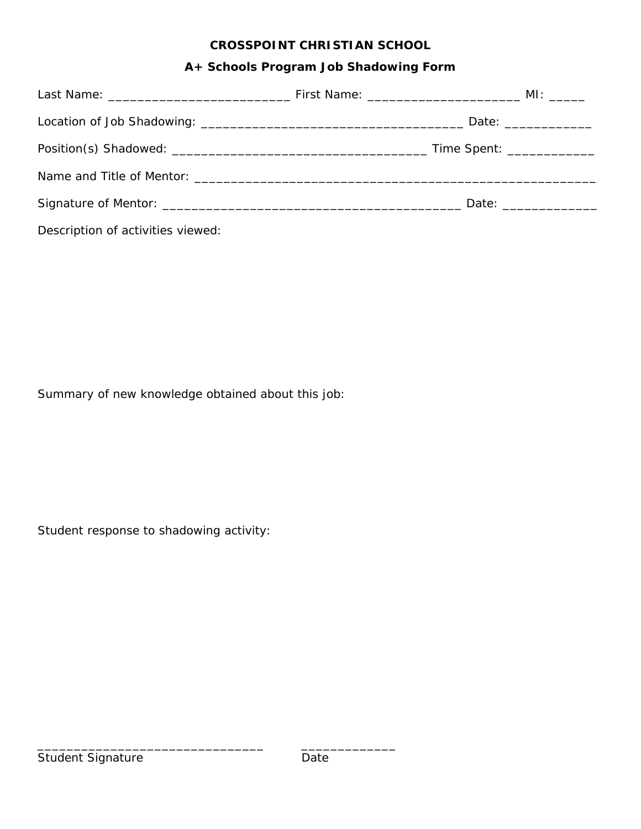## **A+ Schools Program Job Shadowing Form**

| Description of activities viewed: |  |
|-----------------------------------|--|

Summary of new knowledge obtained about this job:

\_\_\_\_\_\_\_\_\_\_\_\_\_\_\_\_\_\_\_\_\_\_\_\_\_\_\_\_\_\_\_ \_\_\_\_\_\_\_\_\_\_\_\_\_

Student response to shadowing activity: